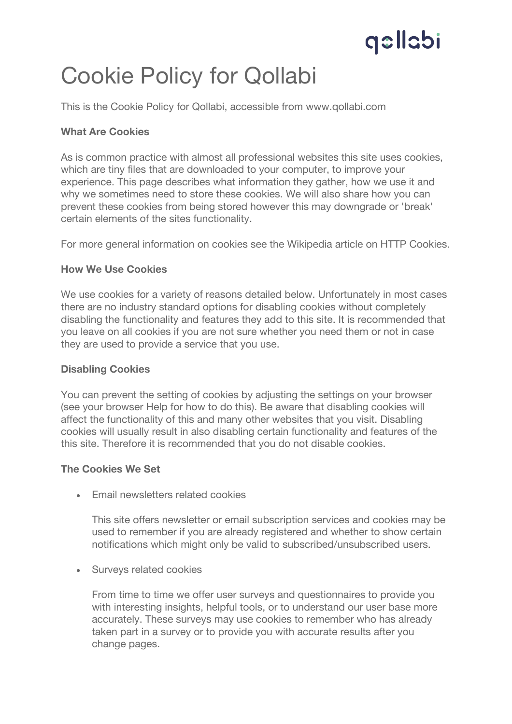# qellabi

### Cookie Policy for Qollabi

This is the Cookie Policy for Qollabi, accessible from www.qollabi.com

### **What Are Cookies**

As is common practice with almost all professional websites this site uses cookies, which are tiny files that are downloaded to your computer, to improve your experience. This page describes what information they gather, how we use it and why we sometimes need to store these cookies. We will also share how you can prevent these cookies from being stored however this may downgrade or 'break' certain elements of the sites functionality.

For more general information on cookies see the Wikipedia article on HTTP Cookies.

### **How We Use Cookies**

We use cookies for a variety of reasons detailed below. Unfortunately in most cases there are no industry standard options for disabling cookies without completely disabling the functionality and features they add to this site. It is recommended that you leave on all cookies if you are not sure whether you need them or not in case they are used to provide a service that you use.

### **Disabling Cookies**

You can prevent the setting of cookies by adjusting the settings on your browser (see your browser Help for how to do this). Be aware that disabling cookies will affect the functionality of this and many other websites that you visit. Disabling cookies will usually result in also disabling certain functionality and features of the this site. Therefore it is recommended that you do not disable cookies.

### **The Cookies We Set**

• Email newsletters related cookies

This site offers newsletter or email subscription services and cookies may be used to remember if you are already registered and whether to show certain notifications which might only be valid to subscribed/unsubscribed users.

• Surveys related cookies

From time to time we offer user surveys and questionnaires to provide you with interesting insights, helpful tools, or to understand our user base more accurately. These surveys may use cookies to remember who has already taken part in a survey or to provide you with accurate results after you change pages.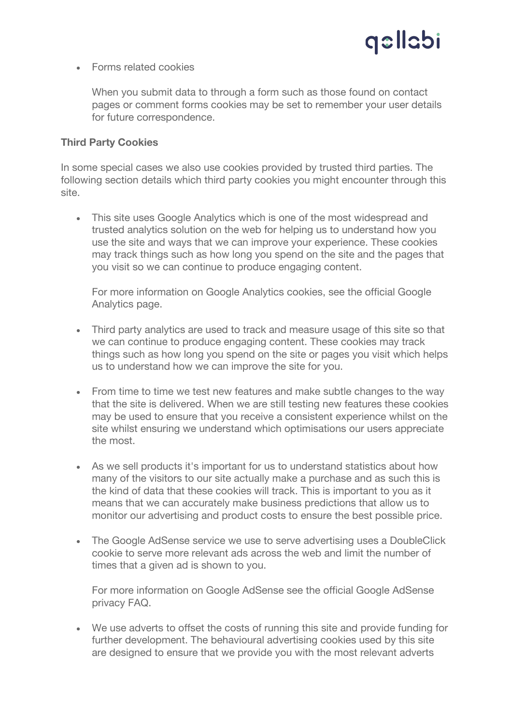## qellabi

• Forms related cookies

When you submit data to through a form such as those found on contact pages or comment forms cookies may be set to remember your user details for future correspondence.

#### **Third Party Cookies**

In some special cases we also use cookies provided by trusted third parties. The following section details which third party cookies you might encounter through this site.

• This site uses Google Analytics which is one of the most widespread and trusted analytics solution on the web for helping us to understand how you use the site and ways that we can improve your experience. These cookies may track things such as how long you spend on the site and the pages that you visit so we can continue to produce engaging content.

For more information on Google Analytics cookies, see the official Google Analytics page.

- Third party analytics are used to track and measure usage of this site so that we can continue to produce engaging content. These cookies may track things such as how long you spend on the site or pages you visit which helps us to understand how we can improve the site for you.
- From time to time we test new features and make subtle changes to the way that the site is delivered. When we are still testing new features these cookies may be used to ensure that you receive a consistent experience whilst on the site whilst ensuring we understand which optimisations our users appreciate the most.
- As we sell products it's important for us to understand statistics about how many of the visitors to our site actually make a purchase and as such this is the kind of data that these cookies will track. This is important to you as it means that we can accurately make business predictions that allow us to monitor our advertising and product costs to ensure the best possible price.
- The Google AdSense service we use to serve advertising uses a DoubleClick cookie to serve more relevant ads across the web and limit the number of times that a given ad is shown to you.

For more information on Google AdSense see the official Google AdSense privacy FAQ.

• We use adverts to offset the costs of running this site and provide funding for further development. The behavioural advertising cookies used by this site are designed to ensure that we provide you with the most relevant adverts